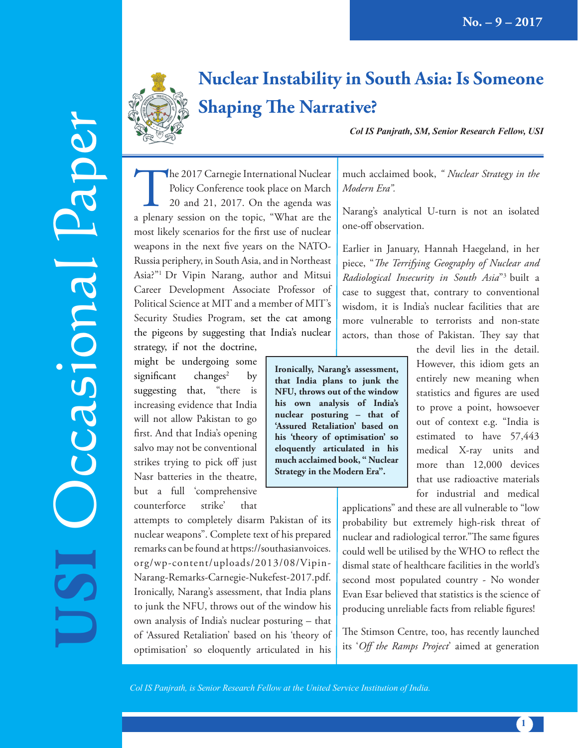

# **Nuclear Instability in South Asia: Is Someone Shaping The Narrative?**

*Col IS Panjrath, SM, Senior Research Fellow, USI*

The 2017 Carnegie International Nuclear<br>
Policy Conference took place on March<br>
20 and 21, 2017. On the agenda was<br>
a plenary session on the topic, "What are the Policy Conference took place on March 20 and 21, 2017. On the agenda was most likely scenarios for the first use of nuclear weapons in the next five years on the NATO-Russia periphery, in South Asia, and in Northeast Asia?"1 Dr Vipin Narang, author and Mitsui Career Development Associate Professor of Political Science at MIT and a member of MIT's Security Studies Program, set the cat among the pigeons by suggesting that India's nuclear

strategy, if not the doctrine, might be undergoing some  $significant$  changes<sup>2</sup> by suggesting that, "there is increasing evidence that India will not allow Pakistan to go first. And that India's opening salvo may not be conventional strikes trying to pick off just Nasr batteries in the theatre, but a full 'comprehensive counterforce strike' that

**USI**

Occasional Paper

ccasional Paper

attempts to completely disarm Pakistan of its nuclear weapons". Complete text of his prepared remarks can be found at https://southasianvoices. org/wp-content/uploads/2013/08/Vipin-Narang-Remarks-Carnegie-Nukefest-2017.pdf. Ironically, Narang's assessment, that India plans to junk the NFU, throws out of the window his own analysis of India's nuclear posturing – that of 'Assured Retaliation' based on his 'theory of optimisation' so eloquently articulated in his

much acclaimed book, *" Nuclear Strategy in the Modern Era".*

Narang's analytical U-turn is not an isolated one-off observation.

Earlier in January, Hannah Haegeland, in her piece, "*The Terrifying Geography of Nuclear and Radiological Insecurity in South Asia*"3 built a case to suggest that, contrary to conventional wisdom, it is India's nuclear facilities that are more vulnerable to terrorists and non-state actors, than those of Pakistan. They say that

**Ironically, Narang's assessment, that India plans to junk the NFU, throws out of the window his own analysis of India's nuclear posturing – that of 'Assured Retaliation' based on his 'theory of optimisation' so eloquently articulated in his much acclaimed book, " Nuclear Strategy in the Modern Era".**

the devil lies in the detail. However, this idiom gets an entirely new meaning when statistics and figures are used to prove a point, howsoever out of context e.g. "India is estimated to have 57,443 medical X-ray units and more than 12,000 devices that use radioactive materials for industrial and medical

applications" and these are all vulnerable to "low probability but extremely high-risk threat of nuclear and radiological terror."The same figures could well be utilised by the WHO to reflect the dismal state of healthcare facilities in the world's second most populated country - No wonder Evan Esar believed that statistics is the science of producing unreliable facts from reliable figures!

The Stimson Centre, too, has recently launched its '*Off the Ramps Project*' aimed at generation

*Col IS Panjrath, is Senior Research Fellow at the United Service Institution of India.*

**1**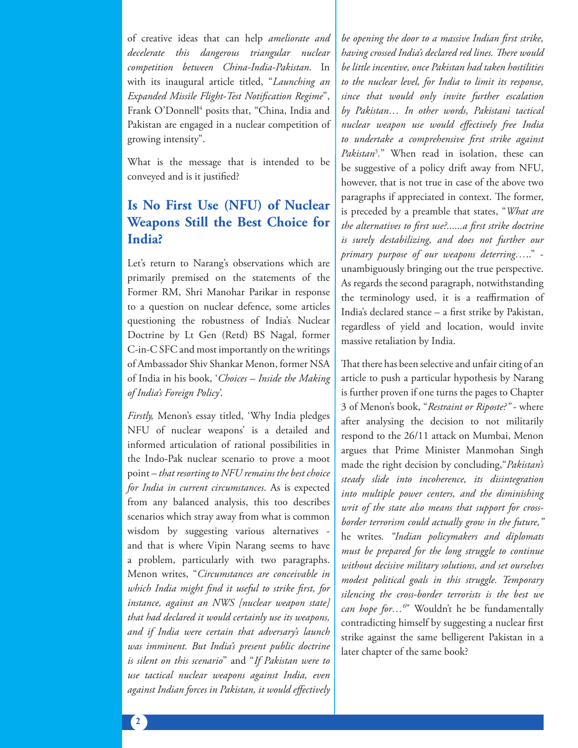of creative ideas that can help *ameliorate and decelerate this dangerous triangular nuclear competition between China-India-Pakistan*. In with its inaugural article titled, "*Launching an Expanded Missile Flight-Test Notification Regime*", Frank O'Donnell<sup>4</sup> posits that, "China, India and Pakistan are engaged in a nuclear competition of growing intensity".

What is the message that is intended to be conveyed and is it justified?

## **Is No First Use (NFU) of Nuclear Weapons Still the Best Choice for India?**

Let's return to Narang's observations which are primarily premised on the statements of the Former RM, Shri Manohar Parikar in response to a question on nuclear defence, some articles questioning the robustness of India's Nuclear Doctrine by Lt Gen (Retd) BS Nagal, former C-in-C SFC and most importantly on the writings of Ambassador Shiv Shankar Menon, former NSA of India in his book, '*Choices – Inside the Making of India's Foreign Policy'*.

*Firstly,* Menon's essay titled, 'Why India pledges NFU of nuclear weapons' is a detailed and informed articulation of rational possibilities in the Indo-Pak nuclear scenario to prove a moot point – *that resorting to NFU remains the best choice for India in current circumstances*. As is expected from any balanced analysis, this too describes scenarios which stray away from what is common wisdom by suggesting various alternatives and that is where Vipin Narang seems to have a problem, particularly with two paragraphs. Menon writes, "*Circumstances are conceivable in which India might find it useful to strike first, for instance, against an NWS [nuclear weapon state] that had declared it would certainly use its weapons, and if India were certain that adversary's launch was imminent. But India's present public doctrine is silent on this scenario*" and "*If Pakistan were to use tactical nuclear weapons against India, even against Indian forces in Pakistan, it would effectively* 

*be opening the door to a massive Indian first strike, having crossed India's declared red lines. There would be little incentive, once Pakistan had taken hostilities to the nuclear level, for India to limit its response, since that would only invite further escalation by Pakistan… In other words, Pakistani tactical nuclear weapon use would effectively free India to undertake a comprehensive first strike against Pakistan5 .*" When read in isolation, these can be suggestive of a policy drift away from NFU, however, that is not true in case of the above two paragraphs if appreciated in context. The former, is preceded by a preamble that states, "*What are the alternatives to first use?......a first strike doctrine is surely destabilizing, and does not further our primary purpose of our weapons deterring…*.." unambiguously bringing out the true perspective. As regards the second paragraph, notwithstanding the terminology used, it is a reaffirmation of India's declared stance – a first strike by Pakistan, regardless of yield and location, would invite massive retaliation by India.

That there has been selective and unfair citing of an article to push a particular hypothesis by Narang is further proven if one turns the pages to Chapter 3 of Menon's book, "*Restraint or Riposte?"* - where after analysing the decision to not militarily respond to the 26/11 attack on Mumbai, Menon argues that Prime Minister Manmohan Singh made the right decision by concluding,"*Pakistan's steady slide into incoherence, its disintegration into multiple power centers, and the diminishing writ of the state also means that support for crossborder terrorism could actually grow in the future,"*  he writes*. "Indian policymakers and diplomats must be prepared for the long struggle to continue without decisive military solutions, and set ourselves modest political goals in this struggle. Temporary silencing the cross-border terrorists is the best we can hope for…6* " Wouldn't he be fundamentally contradicting himself by suggesting a nuclear first strike against the same belligerent Pakistan in a later chapter of the same book?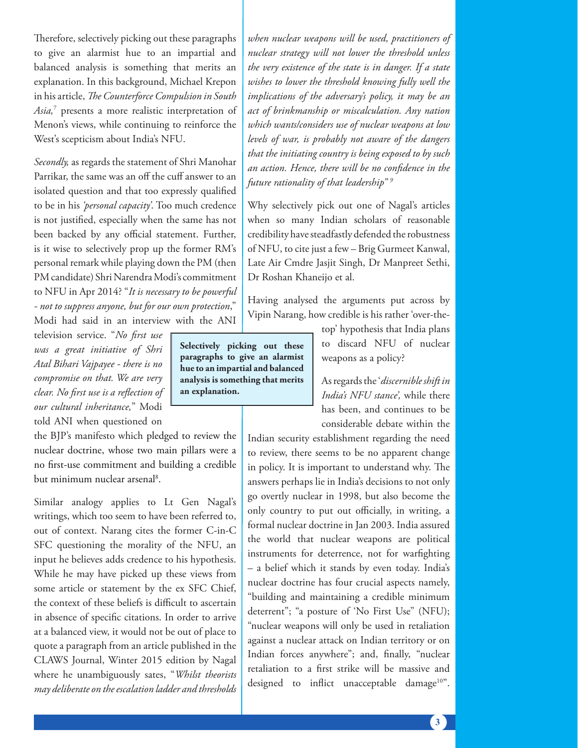Therefore, selectively picking out these paragraphs to give an alarmist hue to an impartial and balanced analysis is something that merits an explanation. In this background, Michael Krepon in his article, *The Counterforce Compulsion in South Asia,*<sup>7</sup> presents a more realistic interpretation of Menon's views, while continuing to reinforce the West's scepticism about India's NFU.

*Secondly,* as regards the statement of Shri Manohar Parrikar, the same was an off the cuff answer to an isolated question and that too expressly qualified to be in his *'personal capacity'*. Too much credence is not justified, especially when the same has not been backed by any official statement. Further, is it wise to selectively prop up the former RM's personal remark while playing down the PM (then PM candidate) Shri Narendra Modi's commitment to NFU in Apr 2014? "*It is necessary to be powerful - not to suppress anyone, but for our own protection*," Modi had said in an interview with the ANI

television service. "*No first use was a great initiative of Shri Atal Bihari Vajpayee - there is no compromise on that. We are very clear. No first use is a reflection of our cultural inheritance,*" Modi

told ANI when questioned on

the BJP's manifesto which pledged to review the nuclear doctrine, whose two main pillars were a no first-use commitment and building a credible but minimum nuclear arsenal<sup>8</sup>.

Similar analogy applies to Lt Gen Nagal's writings, which too seem to have been referred to, out of context. Narang cites the former C-in-C SFC questioning the morality of the NFU, an input he believes adds credence to his hypothesis. While he may have picked up these views from some article or statement by the ex SFC Chief, the context of these beliefs is difficult to ascertain in absence of specific citations. In order to arrive at a balanced view, it would not be out of place to quote a paragraph from an article published in the CLAWS Journal, Winter 2015 edition by Nagal where he unambiguously sates, "*Whilst theorists may deliberate on the escalation ladder and thresholds*  *when nuclear weapons will be used, practitioners of nuclear strategy will not lower the threshold unless the very existence of the state is in danger. If a state wishes to lower the threshold knowing fully well the implications of the adversary's policy, it may be an act of brinkmanship or miscalculation. Any nation which wants/considers use of nuclear weapons at low levels of war, is probably not aware of the dangers that the initiating country is being exposed to by such an action. Hence, there will be no confidence in the future rationality of that leadership" 9*

Why selectively pick out one of Nagal's articles when so many Indian scholars of reasonable credibility have steadfastly defended the robustness of NFU, to cite just a few – Brig Gurmeet Kanwal, Late Air Cmdre Jasjit Singh, Dr Manpreet Sethi, Dr Roshan Khaneijo et al.

Having analysed the arguments put across by Vipin Narang, how credible is his rather 'over-the-

**Selectively picking out these paragraphs to give an alarmist hue to an impartial and balanced analysis is something that merits** 

**an explanation.**

top' hypothesis that India plans to discard NFU of nuclear weapons as a policy?

As regards the '*discernible shift in India's NFU stance',* while there has been, and continues to be considerable debate within the

Indian security establishment regarding the need to review, there seems to be no apparent change in policy. It is important to understand why. The answers perhaps lie in India's decisions to not only go overtly nuclear in 1998, but also become the only country to put out officially, in writing, a formal nuclear doctrine in Jan 2003. India assured the world that nuclear weapons are political instruments for deterrence, not for warfighting – a belief which it stands by even today. India's nuclear doctrine has four crucial aspects namely, "building and maintaining a credible minimum deterrent"; "a posture of 'No First Use" (NFU); "nuclear weapons will only be used in retaliation against a nuclear attack on Indian territory or on Indian forces anywhere"; and, finally, "nuclear retaliation to a first strike will be massive and designed to inflict unacceptable damage<sup>10"</sup>.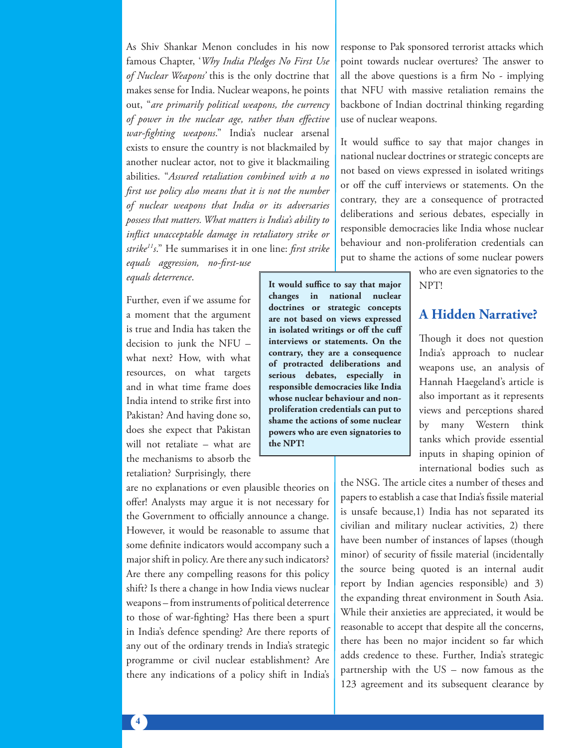As Shiv Shankar Menon concludes in his now famous Chapter, '*Why India Pledges No First Use of Nuclear Weapons'* this is the only doctrine that makes sense for India. Nuclear weapons, he points out, "*are primarily political weapons, the currency of power in the nuclear age, rather than effective war-fighting weapons*." India's nuclear arsenal exists to ensure the country is not blackmailed by another nuclear actor, not to give it blackmailing abilities. "*Assured retaliation combined with a no first use policy also means that it is not the number of nuclear weapons that India or its adversaries possess that matters. What matters is India's ability to inflict unacceptable damage in retaliatory strike or strike11s*." He summarises it in one line: *first strike* 

*equals aggression, no-first-use equals deterrence*.

Further, even if we assume for a moment that the argument is true and India has taken the decision to junk the NFU – what next? How, with what resources, on what targets and in what time frame does India intend to strike first into Pakistan? And having done so, does she expect that Pakistan will not retaliate – what are the mechanisms to absorb the retaliation? Surprisingly, there

are no explanations or even plausible theories on offer! Analysts may argue it is not necessary for the Government to officially announce a change. However, it would be reasonable to assume that some definite indicators would accompany such a major shift in policy. Are there any such indicators? Are there any compelling reasons for this policy shift? Is there a change in how India views nuclear weapons – from instruments of political deterrence to those of war-fighting? Has there been a spurt in India's defence spending? Are there reports of any out of the ordinary trends in India's strategic programme or civil nuclear establishment? Are there any indications of a policy shift in India's response to Pak sponsored terrorist attacks which point towards nuclear overtures? The answer to all the above questions is a firm No - implying that NFU with massive retaliation remains the backbone of Indian doctrinal thinking regarding use of nuclear weapons.

It would suffice to say that major changes in national nuclear doctrines or strategic concepts are not based on views expressed in isolated writings or off the cuff interviews or statements. On the contrary, they are a consequence of protracted deliberations and serious debates, especially in responsible democracies like India whose nuclear behaviour and non-proliferation credentials can put to shame the actions of some nuclear powers

**It would suffice to say that major changes in national nuclear doctrines or strategic concepts are not based on views expressed in isolated writings or off the cuff interviews or statements. On the contrary, they are a consequence of protracted deliberations and serious debates, especially in responsible democracies like India whose nuclear behaviour and nonproliferation credentials can put to shame the actions of some nuclear powers who are even signatories to** 

**the NPT!**

who are even signatories to the NPT!

### **A Hidden Narrative?**

Though it does not question India's approach to nuclear weapons use, an analysis of Hannah Haegeland's article is also important as it represents views and perceptions shared by many Western think tanks which provide essential inputs in shaping opinion of international bodies such as

the NSG. The article cites a number of theses and papers to establish a case that India's fissile material is unsafe because,1) India has not separated its civilian and military nuclear activities, 2) there have been number of instances of lapses (though minor) of security of fissile material (incidentally the source being quoted is an internal audit report by Indian agencies responsible) and 3) the expanding threat environment in South Asia. While their anxieties are appreciated, it would be reasonable to accept that despite all the concerns, there has been no major incident so far which adds credence to these. Further, India's strategic partnership with the US – now famous as the 123 agreement and its subsequent clearance by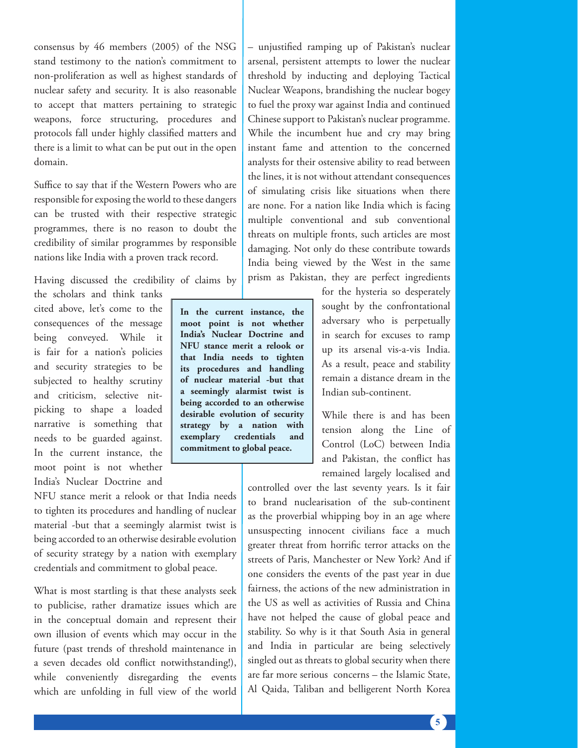consensus by 46 members (2005) of the NSG stand testimony to the nation's commitment to non-proliferation as well as highest standards of nuclear safety and security. It is also reasonable to accept that matters pertaining to strategic weapons, force structuring, procedures and protocols fall under highly classified matters and there is a limit to what can be put out in the open domain.

Suffice to say that if the Western Powers who are responsible for exposing the world to these dangers can be trusted with their respective strategic programmes, there is no reason to doubt the credibility of similar programmes by responsible nations like India with a proven track record.

Having discussed the credibility of claims by

the scholars and think tanks cited above, let's come to the consequences of the message being conveyed. While it is fair for a nation's policies and security strategies to be subjected to healthy scrutiny and criticism, selective nitpicking to shape a loaded narrative is something that needs to be guarded against. In the current instance, the moot point is not whether India's Nuclear Doctrine and

**In the current instance, the moot point is not whether India's Nuclear Doctrine and NFU stance merit a relook or that India needs to tighten its procedures and handling of nuclear material -but that a seemingly alarmist twist is being accorded to an otherwise desirable evolution of security strategy by a nation with exemplary credentials and commitment to global peace.**

NFU stance merit a relook or that India needs to tighten its procedures and handling of nuclear material -but that a seemingly alarmist twist is being accorded to an otherwise desirable evolution of security strategy by a nation with exemplary credentials and commitment to global peace.

What is most startling is that these analysts seek to publicise, rather dramatize issues which are in the conceptual domain and represent their own illusion of events which may occur in the future (past trends of threshold maintenance in a seven decades old conflict notwithstanding!), while conveniently disregarding the events which are unfolding in full view of the world – unjustified ramping up of Pakistan's nuclear arsenal, persistent attempts to lower the nuclear threshold by inducting and deploying Tactical Nuclear Weapons, brandishing the nuclear bogey to fuel the proxy war against India and continued Chinese support to Pakistan's nuclear programme. While the incumbent hue and cry may bring instant fame and attention to the concerned analysts for their ostensive ability to read between the lines, it is not without attendant consequences of simulating crisis like situations when there are none. For a nation like India which is facing multiple conventional and sub conventional threats on multiple fronts, such articles are most damaging. Not only do these contribute towards India being viewed by the West in the same prism as Pakistan, they are perfect ingredients

> for the hysteria so desperately sought by the confrontational adversary who is perpetually in search for excuses to ramp up its arsenal vis-a-vis India. As a result, peace and stability remain a distance dream in the Indian sub-continent.

> While there is and has been tension along the Line of Control (LoC) between India and Pakistan, the conflict has remained largely localised and

controlled over the last seventy years. Is it fair to brand nuclearisation of the sub-continent as the proverbial whipping boy in an age where unsuspecting innocent civilians face a much greater threat from horrific terror attacks on the streets of Paris, Manchester or New York? And if one considers the events of the past year in due fairness, the actions of the new administration in the US as well as activities of Russia and China have not helped the cause of global peace and stability. So why is it that South Asia in general and India in particular are being selectively singled out as threats to global security when there are far more serious concerns – the Islamic State, Al Qaida, Taliban and belligerent North Korea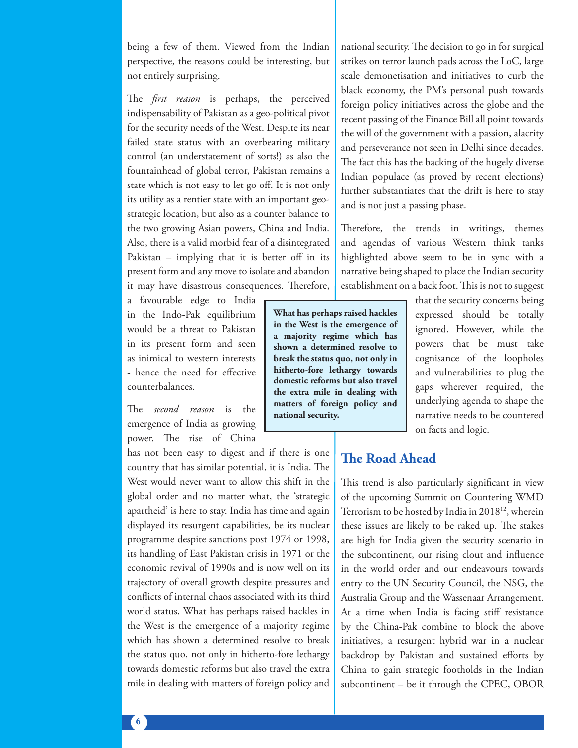being a few of them. Viewed from the Indian perspective, the reasons could be interesting, but not entirely surprising.

The *first reason* is perhaps, the perceived indispensability of Pakistan as a geo-political pivot for the security needs of the West. Despite its near failed state status with an overbearing military control (an understatement of sorts!) as also the fountainhead of global terror, Pakistan remains a state which is not easy to let go off. It is not only its utility as a rentier state with an important geostrategic location, but also as a counter balance to the two growing Asian powers, China and India. Also, there is a valid morbid fear of a disintegrated Pakistan – implying that it is better off in its present form and any move to isolate and abandon it may have disastrous consequences. Therefore,

a favourable edge to India in the Indo-Pak equilibrium would be a threat to Pakistan in its present form and seen as inimical to western interests - hence the need for effective counterbalances.

The *second reason* is the emergence of India as growing power. The rise of China

has not been easy to digest and if there is one country that has similar potential, it is India. The West would never want to allow this shift in the global order and no matter what, the 'strategic apartheid' is here to stay. India has time and again displayed its resurgent capabilities, be its nuclear programme despite sanctions post 1974 or 1998, its handling of East Pakistan crisis in 1971 or the economic revival of 1990s and is now well on its trajectory of overall growth despite pressures and conflicts of internal chaos associated with its third world status. What has perhaps raised hackles in the West is the emergence of a majority regime which has shown a determined resolve to break the status quo, not only in hitherto-fore lethargy towards domestic reforms but also travel the extra mile in dealing with matters of foreign policy and national security. The decision to go in for surgical strikes on terror launch pads across the LoC, large scale demonetisation and initiatives to curb the black economy, the PM's personal push towards foreign policy initiatives across the globe and the recent passing of the Finance Bill all point towards the will of the government with a passion, alacrity and perseverance not seen in Delhi since decades. The fact this has the backing of the hugely diverse Indian populace (as proved by recent elections) further substantiates that the drift is here to stay and is not just a passing phase.

Therefore, the trends in writings, themes and agendas of various Western think tanks highlighted above seem to be in sync with a narrative being shaped to place the Indian security establishment on a back foot. This is not to suggest

**What has perhaps raised hackles in the West is the emergence of a majority regime which has shown a determined resolve to break the status quo, not only in hitherto-fore lethargy towards domestic reforms but also travel the extra mile in dealing with matters of foreign policy and national security.**

that the security concerns being expressed should be totally ignored. However, while the powers that be must take cognisance of the loopholes and vulnerabilities to plug the gaps wherever required, the underlying agenda to shape the narrative needs to be countered on facts and logic.

### **The Road Ahead**

This trend is also particularly significant in view of the upcoming Summit on Countering WMD Terrorism to be hosted by India in 2018<sup>12</sup>, wherein these issues are likely to be raked up. The stakes are high for India given the security scenario in the subcontinent, our rising clout and influence in the world order and our endeavours towards entry to the UN Security Council, the NSG, the Australia Group and the Wassenaar Arrangement. At a time when India is facing stiff resistance by the China-Pak combine to block the above initiatives, a resurgent hybrid war in a nuclear backdrop by Pakistan and sustained efforts by China to gain strategic footholds in the Indian subcontinent – be it through the CPEC, OBOR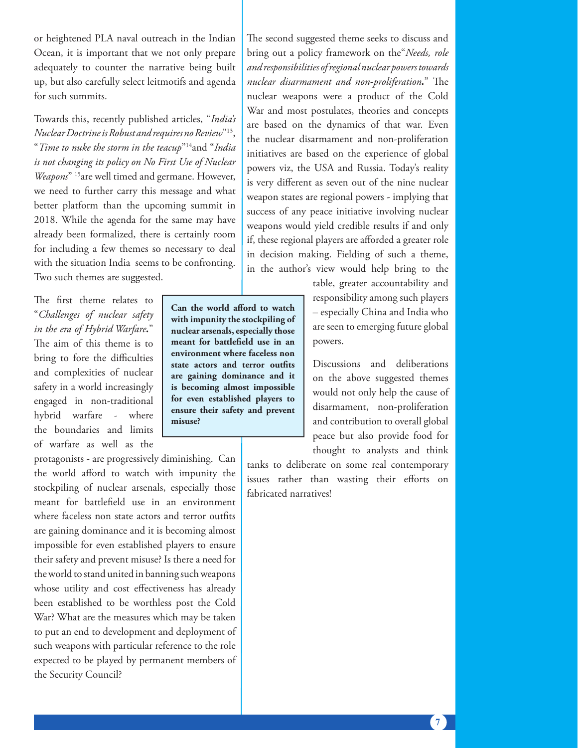or heightened PLA naval outreach in the Indian Ocean, it is important that we not only prepare adequately to counter the narrative being built up, but also carefully select leitmotifs and agenda for such summits.

Towards this, recently published articles, "*India's Nuclear Doctrine is Robust and requires no Review*"13, "*Time to nuke the storm in the teacup*"14and "*India is not changing its policy on No First Use of Nuclear Weapons*" 15are well timed and germane. However, we need to further carry this message and what better platform than the upcoming summit in 2018. While the agenda for the same may have already been formalized, there is certainly room for including a few themes so necessary to deal with the situation India seems to be confronting. Two such themes are suggested.

The first theme relates to "*Challenges of nuclear safety in the era of Hybrid Warfare.*" The aim of this theme is to bring to fore the difficulties and complexities of nuclear safety in a world increasingly engaged in non-traditional hybrid warfare - where the boundaries and limits of warfare as well as the

protagonists - are progressively diminishing. Can the world afford to watch with impunity the stockpiling of nuclear arsenals, especially those meant for battlefield use in an environment where faceless non state actors and terror outfits are gaining dominance and it is becoming almost impossible for even established players to ensure their safety and prevent misuse? Is there a need for the world to stand united in banning such weapons whose utility and cost effectiveness has already been established to be worthless post the Cold War? What are the measures which may be taken to put an end to development and deployment of such weapons with particular reference to the role expected to be played by permanent members of the Security Council?

**Can the world afford to watch with impunity the stockpiling of nuclear arsenals, especially those meant for battlefield use in an environment where faceless non state actors and terror outfits are gaining dominance and it is becoming almost impossible for even established players to ensure their safety and prevent misuse?**

The second suggested theme seeks to discuss and bring out a policy framework on the"*Needs, role and responsibilities of regional nuclear powers towards nuclear disarmament and non-proliferation.*" The nuclear weapons were a product of the Cold War and most postulates, theories and concepts are based on the dynamics of that war. Even the nuclear disarmament and non-proliferation initiatives are based on the experience of global powers viz, the USA and Russia. Today's reality is very different as seven out of the nine nuclear weapon states are regional powers - implying that success of any peace initiative involving nuclear weapons would yield credible results if and only if, these regional players are afforded a greater role in decision making. Fielding of such a theme, in the author's view would help bring to the

> table, greater accountability and responsibility among such players – especially China and India who are seen to emerging future global powers.

Discussions and deliberations on the above suggested themes would not only help the cause of disarmament, non-proliferation and contribution to overall global peace but also provide food for thought to analysts and think

tanks to deliberate on some real contemporary issues rather than wasting their efforts on fabricated narratives!